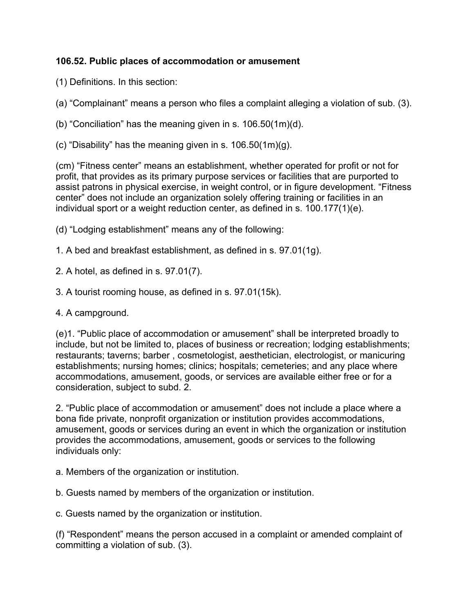## **106.52. Public places of accommodation or amusement**

- (1) Definitions. In this section:
- (a) "Complainant" means a person who files a complaint alleging a violation of sub. (3).
- (b) "Conciliation" has the meaning given in s. 106.50(1m)(d).
- (c) "Disability" has the meaning given in s. 106.50(1m)(g).

(cm) "Fitness center" means an establishment, whether operated for profit or not for profit, that provides as its primary purpose services or facilities that are purported to assist patrons in physical exercise, in weight control, or in figure development. "Fitness center" does not include an organization solely offering training or facilities in an individual sport or a weight reduction center, as defined in s. 100.177(1)(e).

- (d) "Lodging establishment" means any of the following:
- 1. A bed and breakfast establishment, as defined in s. 97.01(1g).
- 2. A hotel, as defined in s. 97.01(7).
- 3. A tourist rooming house, as defined in s. 97.01(15k).
- 4. A campground.

(e)1. "Public place of accommodation or amusement" shall be interpreted broadly to include, but not be limited to, places of business or recreation; lodging establishments; restaurants; taverns; barber , cosmetologist, aesthetician, electrologist, or manicuring establishments; nursing homes; clinics; hospitals; cemeteries; and any place where accommodations, amusement, goods, or services are available either free or for a consideration, subject to subd. 2.

2. "Public place of accommodation or amusement" does not include a place where a bona fide private, nonprofit organization or institution provides accommodations, amusement, goods or services during an event in which the organization or institution provides the accommodations, amusement, goods or services to the following individuals only:

a. Members of the organization or institution.

b. Guests named by members of the organization or institution.

c. Guests named by the organization or institution.

(f) "Respondent" means the person accused in a complaint or amended complaint of committing a violation of sub. (3).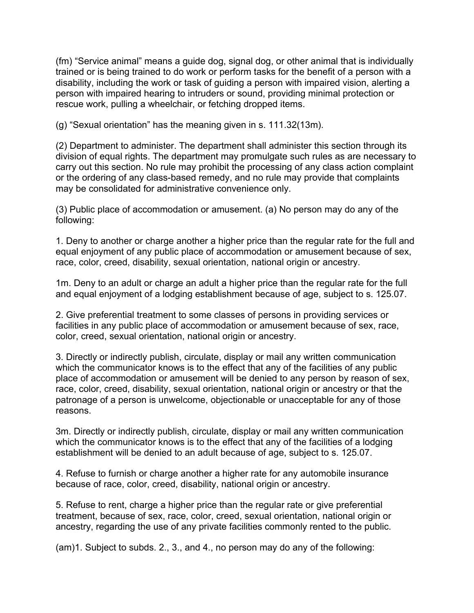(fm) "Service animal" means a guide dog, signal dog, or other animal that is individually trained or is being trained to do work or perform tasks for the benefit of a person with a disability, including the work or task of guiding a person with impaired vision, alerting a person with impaired hearing to intruders or sound, providing minimal protection or rescue work, pulling a wheelchair, or fetching dropped items.

(g) "Sexual orientation" has the meaning given in s. 111.32(13m).

(2) Department to administer. The department shall administer this section through its division of equal rights. The department may promulgate such rules as are necessary to carry out this section. No rule may prohibit the processing of any class action complaint or the ordering of any class-based remedy, and no rule may provide that complaints may be consolidated for administrative convenience only.

(3) Public place of accommodation or amusement. (a) No person may do any of the following:

1. Deny to another or charge another a higher price than the regular rate for the full and equal enjoyment of any public place of accommodation or amusement because of sex, race, color, creed, disability, sexual orientation, national origin or ancestry.

1m. Deny to an adult or charge an adult a higher price than the regular rate for the full and equal enjoyment of a lodging establishment because of age, subject to s. 125.07.

2. Give preferential treatment to some classes of persons in providing services or facilities in any public place of accommodation or amusement because of sex, race, color, creed, sexual orientation, national origin or ancestry.

3. Directly or indirectly publish, circulate, display or mail any written communication which the communicator knows is to the effect that any of the facilities of any public place of accommodation or amusement will be denied to any person by reason of sex, race, color, creed, disability, sexual orientation, national origin or ancestry or that the patronage of a person is unwelcome, objectionable or unacceptable for any of those reasons.

3m. Directly or indirectly publish, circulate, display or mail any written communication which the communicator knows is to the effect that any of the facilities of a lodging establishment will be denied to an adult because of age, subject to s. 125.07.

4. Refuse to furnish or charge another a higher rate for any automobile insurance because of race, color, creed, disability, national origin or ancestry.

5. Refuse to rent, charge a higher price than the regular rate or give preferential treatment, because of sex, race, color, creed, sexual orientation, national origin or ancestry, regarding the use of any private facilities commonly rented to the public.

(am)1. Subject to subds. 2., 3., and 4., no person may do any of the following: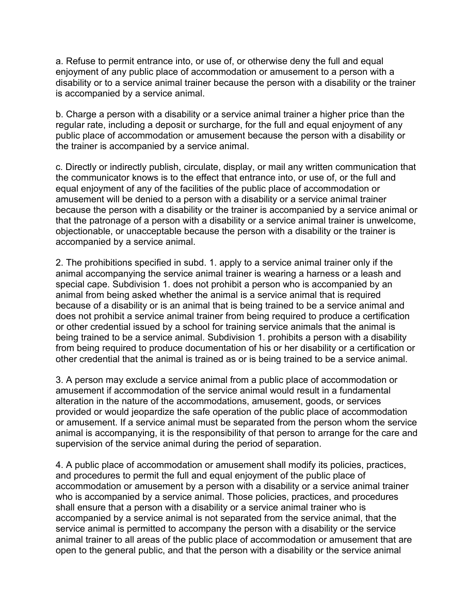a. Refuse to permit entrance into, or use of, or otherwise deny the full and equal enjoyment of any public place of accommodation or amusement to a person with a disability or to a service animal trainer because the person with a disability or the trainer is accompanied by a service animal.

b. Charge a person with a disability or a service animal trainer a higher price than the regular rate, including a deposit or surcharge, for the full and equal enjoyment of any public place of accommodation or amusement because the person with a disability or the trainer is accompanied by a service animal.

c. Directly or indirectly publish, circulate, display, or mail any written communication that the communicator knows is to the effect that entrance into, or use of, or the full and equal enjoyment of any of the facilities of the public place of accommodation or amusement will be denied to a person with a disability or a service animal trainer because the person with a disability or the trainer is accompanied by a service animal or that the patronage of a person with a disability or a service animal trainer is unwelcome, objectionable, or unacceptable because the person with a disability or the trainer is accompanied by a service animal.

2. The prohibitions specified in subd. 1. apply to a service animal trainer only if the animal accompanying the service animal trainer is wearing a harness or a leash and special cape. Subdivision 1. does not prohibit a person who is accompanied by an animal from being asked whether the animal is a service animal that is required because of a disability or is an animal that is being trained to be a service animal and does not prohibit a service animal trainer from being required to produce a certification or other credential issued by a school for training service animals that the animal is being trained to be a service animal. Subdivision 1. prohibits a person with a disability from being required to produce documentation of his or her disability or a certification or other credential that the animal is trained as or is being trained to be a service animal.

3. A person may exclude a service animal from a public place of accommodation or amusement if accommodation of the service animal would result in a fundamental alteration in the nature of the accommodations, amusement, goods, or services provided or would jeopardize the safe operation of the public place of accommodation or amusement. If a service animal must be separated from the person whom the service animal is accompanying, it is the responsibility of that person to arrange for the care and supervision of the service animal during the period of separation.

4. A public place of accommodation or amusement shall modify its policies, practices, and procedures to permit the full and equal enjoyment of the public place of accommodation or amusement by a person with a disability or a service animal trainer who is accompanied by a service animal. Those policies, practices, and procedures shall ensure that a person with a disability or a service animal trainer who is accompanied by a service animal is not separated from the service animal, that the service animal is permitted to accompany the person with a disability or the service animal trainer to all areas of the public place of accommodation or amusement that are open to the general public, and that the person with a disability or the service animal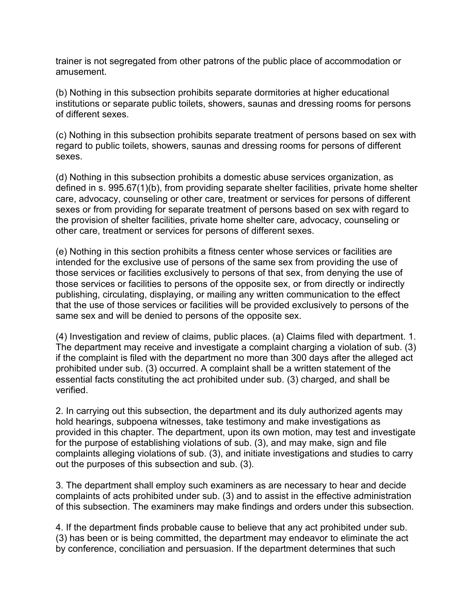trainer is not segregated from other patrons of the public place of accommodation or amusement.

(b) Nothing in this subsection prohibits separate dormitories at higher educational institutions or separate public toilets, showers, saunas and dressing rooms for persons of different sexes.

(c) Nothing in this subsection prohibits separate treatment of persons based on sex with regard to public toilets, showers, saunas and dressing rooms for persons of different sexes.

(d) Nothing in this subsection prohibits a domestic abuse services organization, as defined in s. 995.67(1)(b), from providing separate shelter facilities, private home shelter care, advocacy, counseling or other care, treatment or services for persons of different sexes or from providing for separate treatment of persons based on sex with regard to the provision of shelter facilities, private home shelter care, advocacy, counseling or other care, treatment or services for persons of different sexes.

(e) Nothing in this section prohibits a fitness center whose services or facilities are intended for the exclusive use of persons of the same sex from providing the use of those services or facilities exclusively to persons of that sex, from denying the use of those services or facilities to persons of the opposite sex, or from directly or indirectly publishing, circulating, displaying, or mailing any written communication to the effect that the use of those services or facilities will be provided exclusively to persons of the same sex and will be denied to persons of the opposite sex.

(4) Investigation and review of claims, public places. (a) Claims filed with department. 1. The department may receive and investigate a complaint charging a violation of sub. (3) if the complaint is filed with the department no more than 300 days after the alleged act prohibited under sub. (3) occurred. A complaint shall be a written statement of the essential facts constituting the act prohibited under sub. (3) charged, and shall be verified.

2. In carrying out this subsection, the department and its duly authorized agents may hold hearings, subpoena witnesses, take testimony and make investigations as provided in this chapter. The department, upon its own motion, may test and investigate for the purpose of establishing violations of sub. (3), and may make, sign and file complaints alleging violations of sub. (3), and initiate investigations and studies to carry out the purposes of this subsection and sub. (3).

3. The department shall employ such examiners as are necessary to hear and decide complaints of acts prohibited under sub. (3) and to assist in the effective administration of this subsection. The examiners may make findings and orders under this subsection.

4. If the department finds probable cause to believe that any act prohibited under sub. (3) has been or is being committed, the department may endeavor to eliminate the act by conference, conciliation and persuasion. If the department determines that such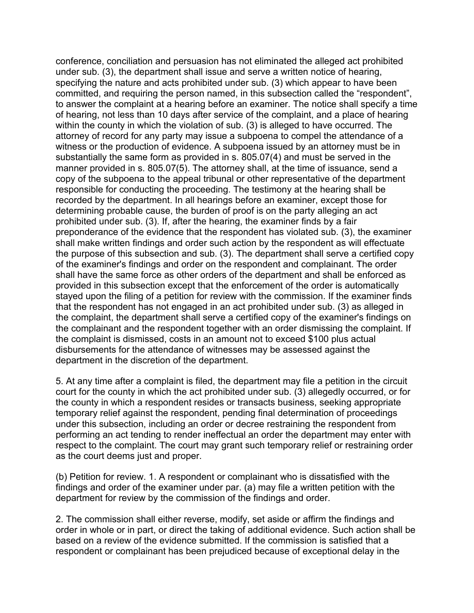conference, conciliation and persuasion has not eliminated the alleged act prohibited under sub. (3), the department shall issue and serve a written notice of hearing, specifying the nature and acts prohibited under sub. (3) which appear to have been committed, and requiring the person named, in this subsection called the "respondent", to answer the complaint at a hearing before an examiner. The notice shall specify a time of hearing, not less than 10 days after service of the complaint, and a place of hearing within the county in which the violation of sub. (3) is alleged to have occurred. The attorney of record for any party may issue a subpoena to compel the attendance of a witness or the production of evidence. A subpoena issued by an attorney must be in substantially the same form as provided in s. 805.07(4) and must be served in the manner provided in s. 805.07(5). The attorney shall, at the time of issuance, send a copy of the subpoena to the appeal tribunal or other representative of the department responsible for conducting the proceeding. The testimony at the hearing shall be recorded by the department. In all hearings before an examiner, except those for determining probable cause, the burden of proof is on the party alleging an act prohibited under sub. (3). If, after the hearing, the examiner finds by a fair preponderance of the evidence that the respondent has violated sub. (3), the examiner shall make written findings and order such action by the respondent as will effectuate the purpose of this subsection and sub. (3). The department shall serve a certified copy of the examiner's findings and order on the respondent and complainant. The order shall have the same force as other orders of the department and shall be enforced as provided in this subsection except that the enforcement of the order is automatically stayed upon the filing of a petition for review with the commission. If the examiner finds that the respondent has not engaged in an act prohibited under sub. (3) as alleged in the complaint, the department shall serve a certified copy of the examiner's findings on the complainant and the respondent together with an order dismissing the complaint. If the complaint is dismissed, costs in an amount not to exceed \$100 plus actual disbursements for the attendance of witnesses may be assessed against the department in the discretion of the department.

5. At any time after a complaint is filed, the department may file a petition in the circuit court for the county in which the act prohibited under sub. (3) allegedly occurred, or for the county in which a respondent resides or transacts business, seeking appropriate temporary relief against the respondent, pending final determination of proceedings under this subsection, including an order or decree restraining the respondent from performing an act tending to render ineffectual an order the department may enter with respect to the complaint. The court may grant such temporary relief or restraining order as the court deems just and proper.

(b) Petition for review. 1. A respondent or complainant who is dissatisfied with the findings and order of the examiner under par. (a) may file a written petition with the department for review by the commission of the findings and order.

2. The commission shall either reverse, modify, set aside or affirm the findings and order in whole or in part, or direct the taking of additional evidence. Such action shall be based on a review of the evidence submitted. If the commission is satisfied that a respondent or complainant has been prejudiced because of exceptional delay in the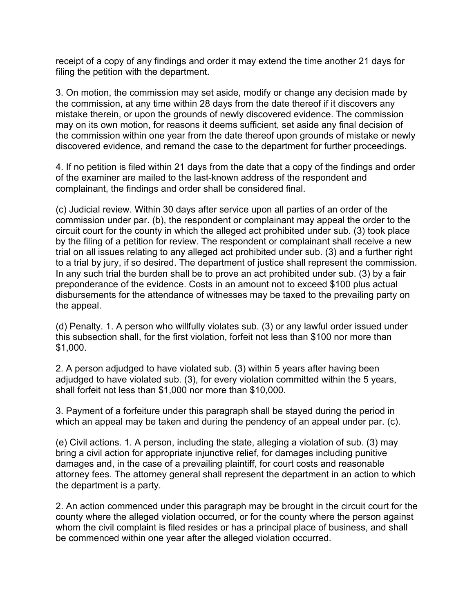receipt of a copy of any findings and order it may extend the time another 21 days for filing the petition with the department.

3. On motion, the commission may set aside, modify or change any decision made by the commission, at any time within 28 days from the date thereof if it discovers any mistake therein, or upon the grounds of newly discovered evidence. The commission may on its own motion, for reasons it deems sufficient, set aside any final decision of the commission within one year from the date thereof upon grounds of mistake or newly discovered evidence, and remand the case to the department for further proceedings.

4. If no petition is filed within 21 days from the date that a copy of the findings and order of the examiner are mailed to the last-known address of the respondent and complainant, the findings and order shall be considered final.

(c) Judicial review. Within 30 days after service upon all parties of an order of the commission under par. (b), the respondent or complainant may appeal the order to the circuit court for the county in which the alleged act prohibited under sub. (3) took place by the filing of a petition for review. The respondent or complainant shall receive a new trial on all issues relating to any alleged act prohibited under sub. (3) and a further right to a trial by jury, if so desired. The department of justice shall represent the commission. In any such trial the burden shall be to prove an act prohibited under sub. (3) by a fair preponderance of the evidence. Costs in an amount not to exceed \$100 plus actual disbursements for the attendance of witnesses may be taxed to the prevailing party on the appeal.

(d) Penalty. 1. A person who willfully violates sub. (3) or any lawful order issued under this subsection shall, for the first violation, forfeit not less than \$100 nor more than \$1,000.

2. A person adjudged to have violated sub. (3) within 5 years after having been adjudged to have violated sub. (3), for every violation committed within the 5 years, shall forfeit not less than \$1,000 nor more than \$10,000.

3. Payment of a forfeiture under this paragraph shall be stayed during the period in which an appeal may be taken and during the pendency of an appeal under par. (c).

(e) Civil actions. 1. A person, including the state, alleging a violation of sub. (3) may bring a civil action for appropriate injunctive relief, for damages including punitive damages and, in the case of a prevailing plaintiff, for court costs and reasonable attorney fees. The attorney general shall represent the department in an action to which the department is a party.

2. An action commenced under this paragraph may be brought in the circuit court for the county where the alleged violation occurred, or for the county where the person against whom the civil complaint is filed resides or has a principal place of business, and shall be commenced within one year after the alleged violation occurred.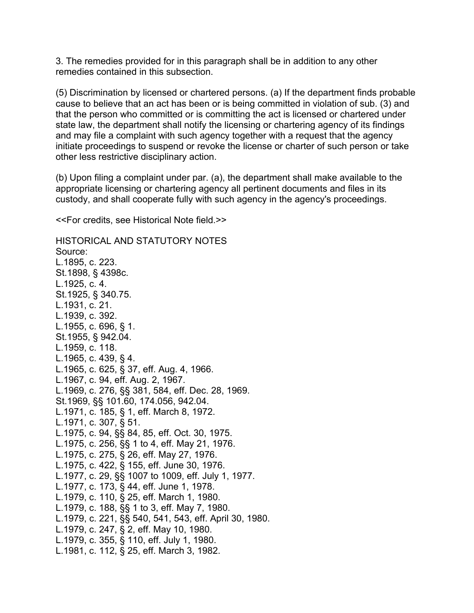3. The remedies provided for in this paragraph shall be in addition to any other remedies contained in this subsection.

(5) Discrimination by licensed or chartered persons. (a) If the department finds probable cause to believe that an act has been or is being committed in violation of sub. (3) and that the person who committed or is committing the act is licensed or chartered under state law, the department shall notify the licensing or chartering agency of its findings and may file a complaint with such agency together with a request that the agency initiate proceedings to suspend or revoke the license or charter of such person or take other less restrictive disciplinary action.

(b) Upon filing a complaint under par. (a), the department shall make available to the appropriate licensing or chartering agency all pertinent documents and files in its custody, and shall cooperate fully with such agency in the agency's proceedings.

<<For credits, see Historical Note field.>>

HISTORICAL AND STATUTORY NOTES Source: L.1895, c. 223. St.1898, § 4398c. L.1925, c. 4. St.1925, § 340.75. L.1931, c. 21. L.1939, c. 392. L.1955, c. 696, § 1. St.1955, § 942.04. L.1959, c. 118. L.1965, c. 439, § 4. L.1965, c. 625, § 37, eff. Aug. 4, 1966. L.1967, c. 94, eff. Aug. 2, 1967. L.1969, c. 276, §§ 381, 584, eff. Dec. 28, 1969. St.1969, §§ 101.60, 174.056, 942.04. L.1971, c. 185, § 1, eff. March 8, 1972. L.1971, c. 307, § 51. L.1975, c. 94, §§ 84, 85, eff. Oct. 30, 1975. L.1975, c. 256, §§ 1 to 4, eff. May 21, 1976. L.1975, c. 275, § 26, eff. May 27, 1976. L.1975, c. 422, § 155, eff. June 30, 1976. L.1977, c. 29, §§ 1007 to 1009, eff. July 1, 1977. L.1977, c. 173, § 44, eff. June 1, 1978. L.1979, c. 110, § 25, eff. March 1, 1980. L.1979, c. 188, §§ 1 to 3, eff. May 7, 1980. L.1979, c. 221, §§ 540, 541, 543, eff. April 30, 1980. L.1979, c. 247, § 2, eff. May 10, 1980. L.1979, c. 355, § 110, eff. July 1, 1980. L.1981, c. 112, § 25, eff. March 3, 1982.